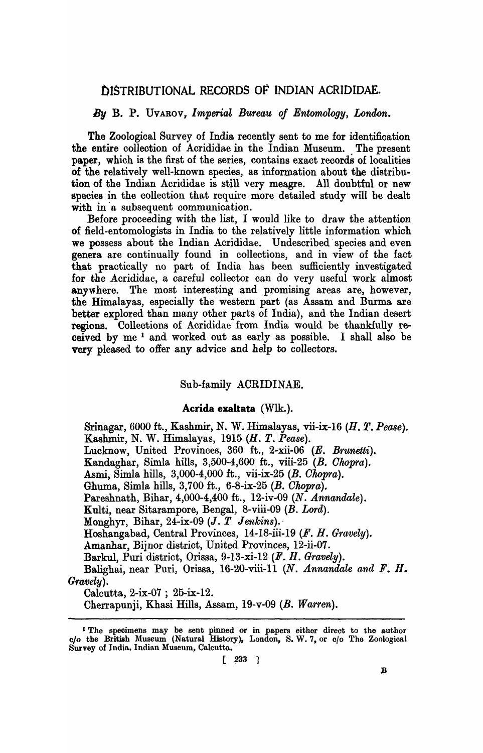# OISTRIBUTIONAL RECORDS OF INDIAN ACRIDIDAE.

#### By B. P. UVAROV, *Imperial Bureau of Entomology*, *London.*

The Zoological Survey of India recently sent to me for identification the entire collection of Acrididae in the Indian Museum. The present paper, which is the first of the series, contains exact records of localities of the relatively well-known species, as information about the distribution of the Indian Acrididae is still very meagre. All doubtful or new species in the collection that require more detailed study will be dealt with in a subsequent communication.

Before proceeding with the list, I would like to draw the attention of field-entomologists in India to the relatively little information which we possess about the Indian Acrididae. Undescribed species and even genera are continually found in collections, and in view of the fact that practically no part of India has been sufficiently investigated for the Acrididae, a careful collector can do very useful work almost anywhere. The most interesting and promising areas are, however, the Himalayas, especially the western part (as Assam and Burma are better explored than many other parts of India), and the Indian desert regions. Collections of Acrididae from India would be thankfully received by me 1 and worked out as early as possible. I shall also be very pleased to offer any advice and help to collectors.

# Sub-family ACRIDINAE.

#### Acrida exaltata (Wlk.).

Srinagar, 6000 ft., Kashmir, N. W. Himalayas, vii-ix-16 *(H. T. Pease).*  Kashmir, N. W. Himalayas, 1915 (H. T. *Pease).*  Lucknow, United Provinces, 360 ft., 2-xii-06 (E. *Brunetti).* 

Kandaghar, Simla hills, 3,500-4,600 ft., viii-25 (B. Ohopra).

Asmi, Simla hills, 3,000-4,000 ft., vii-ix-25 (B. Ohopra).

Ghuma, Simla hills,  $3,700$  ft.,  $6-8-ix-25$  (B. Chopra).

Pareshnath, Bihar, 4,000-4,400 ft., 12-iv-09 *(N. Annandale).* 

Kulti, near Sitarampore, Bengal, 8-viii-09 (B. Lord).

Monghyr, Bihar, 24-ix-09 *(J. T Jenkins).·* 

Hoshangabad, Central Provinces, 14-18-iii-19 *(F. H. Gravely).* 

Amanhar, Bijnor district, United Provinces, 12-ii-07.

Barkul, Puri district, Orissa, 9-13-xi-12 *(F. H. Gravely).* 

Balighai, near Puri, Orissa, 16-20-viii-ll *(N. Annandale and F. H. Gravely).* 

Calcutta, 2-ix-07 ; 25-ix-12.

Cherrapunji, Khasi Hills, Assam, 19-v-09 (B. *Warren).* 

I The specimens may be sent pinned or in papers either direct to the author c/o the British Museum (Natural History), London, S.W.7, or c/o The Zoologioal Survey of India, Indian Museum, Calcutta.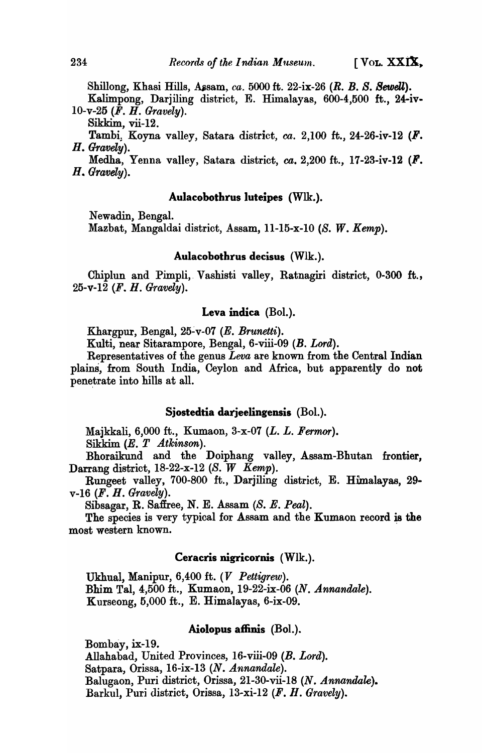Shillong, Khasi Hills, Assam, *ca.* 5000 ft. 22-ix-26 (R. B. S. Sewell).

Kalimpong, Darjiling district, E. Himalayas, 600-4,500 ft., 24-iv. 10-v-25 *(F. H. Gravely).* 

Sikkim, vii-12.

Tambi; Koyna valley, Satara district, *ca.* 2,100 ft., 24-26-iv-12 (F. *H. GTavely).* 

Medha, Yenna valley, Satara district,  $ca. 2,200$  ft., 17-23-iv-12 ( $\mathbf{F}$ . *H .. Gravely).* 

# Aulacobothrus luteipes (Wlk.).

Newadin, Bengal.

Mazbat, Mangaldai district, Assam, 11-15-x-l0 *(S. W. Kemp).* 

# Aulacobothrus decisus (Wlk.).

Chiplun and Pimpli,. Vashisti valley, Ratnagiri district, 0-300 ft., 25-v-12 (F. H. *Gravely).* 

### Leva indiea (BoI.).

Khargpur, Bengal, 25~v-07 *(E. Brunetti).* 

Kulti, near Sitarampore, Bengal, 6-viii-09 *(B. Lord).* 

Representatives of the genus *Leva* are known from the Central Indian plains, from South India, Ceylon and Africa, but apparently do not penetrate into hills at all.

# Sjostedtia darjeelingensis (Bol.).

Majkkali, 6,000 ft., Kumaon, 3-x-07 *(L. L. Fermor).* 

Sikkim (*E. T Atkinson*).

Bhoraikund and the Doiphang valley, Assam-Bhutan frontier, Darrang district, 18-22-x-12 (S. W *Kemp).* 

Rungeet valley, 700-800 ft., Darjiling district, E. Himalayas, 29 v-16 (F. H. *Gravely).* 

Sibs agar, R. Safiree, N. E. Assam (S. E. Peal).

The species is very typical for Assam and the Kumaon record is the most western known.

### Ceracris nigricornis (Wlk.).

Ukhual, Manipur, 6,400 ft. (V *Pettigrew).*  Bhim Tal, 4,500 ft., Kumaon, 19-22-ix-06 *(N. Annandale).*  Kurseong, 5,000 ft., E. Himalayas, 6-ix-09.

# Aiolopus affinis (Bol.).

Bombay, ix-19. Allahabad, United Provinces, 16-viii-09 *(B. Lord).*  Satpara, Orissa, 16-ix-13 *(N. Annandale).*  Balugaon, Puri district, Orissa, 21-30-vii-18 (N. *Annandale).*  Barkul, Puri district, Orissa, 13-xi-12 (F. H. *Gravely).*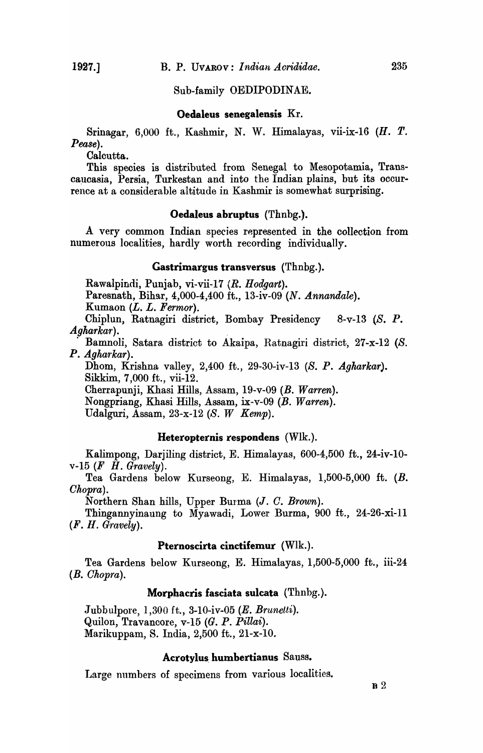Sub-family OEDIPODINAE.

Oedaleus senegalensis Kr.

Srinagar, 6,000 ft., Kashmir, N. W. Himalayas, vii-ix-I6 (H. T. *Pease).* 

Calcutta.

This species is distributed from Senegal to Mesopotamia, Transcaucasia, Persia, Turkestan and into the Indian plains, but its occurrence at a considerable altitude in Kashmir is somewhat surprising.

# Oedaleus abruptus (Thnbg.).

A very common Indian species represented in the collection from numerous localities, hardly worth recording individually.

### Gastrimargus transversus (Thnbg.).

Rawalpindi, Punjab, vi-vii-17 *(R. Hodgart).* 

Paresnath, Bihar, 4,000-4,400 ft., I3-iv-09 *(N. Annandale).* 

Kumaon (L. L. *Fermor).* 

Chiplun, Ratnagiri district, Bombay Presidency 8-v-13 (S. P. *Agharkar). .* 

. Bamnoli, Satara district to Akaipa, Ratnagiri district, 27-x-12 (S. P. *Agharkar).* 

Dhom, Krishna valley, 2,400 ft., 29-30-iv-I3 (S. P. *Agharkar).*  Sikkim, 7,000 ft., vii-12.

Cherrapunji, Khasi Hills, Assam, 19-v-09 (B. *Warren).* 

Nongpriang, Khasi Hills, Assam, ix-v-09 (B. *Warren).* 

Udalguri, Assam, 23-x-12 *(S. W Kemp).* 

### Heteropternis respondens  $(W1k.$ ).

Kalimpong, Darjiling district, E. Himalayas, 600-4,500 ft., 24-iv-10 v-15 *(F H. Gravely).* 

Tea Gardens below Kurseong, E. Himalayas, 1,500-5,000 ft. (B. *Chopra).* 

Northern Shan hills, Upper Burma (J. O. *Brown).* 

Thingannyinaung to Myawadi, Lower Burma, 900 ft., 24-26-xi-Il *(F. H. Gravely).* 

### Pternoscirta cinctifemur (Wlk.).

Tea Gardens below Kurseong, E. Himalayas, 1,500-5,000 ft., iii-24 *(B. Chopra).* 

#### Morphacris fasciata sulcata (Thnbg.).

Jubbulpore, 1,300 ft., 3-10-iv-05 (E. *Brunetti).*  Quilon, Travancore, v-15 (G. P. *Pillai).*  Marikuppam, S. India, 2,500 ft., 21-x-10.

#### Acrotylus. humbertianus Sausa.

Large numbers of specimens from various localities.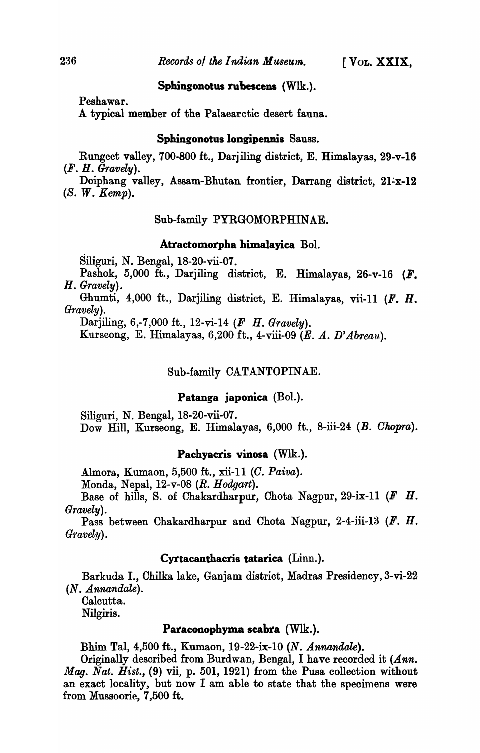# Sphingonotus rubescens (WIk.).

Peshawar.

A typical member of the Palaearctic desert fauna.

# Sphingonotus longipennis Sauss.

Rungeet valley, 700-800 ft., Darjiling district, E. Himalayas, 29-v-16 *(F. H. Gravely).* 

Doiphang valley, Assam-Bhutan frontier, Darrang district, 21-x-12 *(8. W. Kemp).* 

# Sub-family PYRGOMORPHINAE.

# Atractomorpba bimalayica Bol.

Siliguri, N. Bengal, IS-20-vii-07.

Pashok, 5,000 ft., Darjiling district, E. Himalayas, 26-v-16  $(F.$ H. *Gravely).* 

Ghumti, 4,000 ft., Darjiling district, E. Himalayas, vii-II (F. H. *Gravely).* 

Darjiling, 6,-7,000 ft., 12-vi-14 (F H. *Gravely).* 

Kurseong, E. Himalayas, 6,200 ft., 4-viii-09 (E. A. D' *Abreau).* 

# Sub-family CATANTOPINAE.

# Patanga japonica (Bol.).

Siliguri, N. Bengal, IS-20-vii-07. Dow Hill, Kurseong, E. Himalayas, 6,000 ft., S-iii-24 *(B. Ohopra).* 

### Pacbyacris vinosa (WIk.).

Almora, Kumaon, 5,500 ft., xii-II *(0. Paiva).* 

Monda, Nepal, I2-v-OS *(R. Hodgart).* 

Base of hills, S. of Chakardharpur, Chota Nagpur, 29-ix-l1 (F H. *Gravely).* 

Pass between Chakardharpur and Chota Nagpur, 2-4-iii-13 (F. H. *Gravely).* 

# Cyrtacanthacris tatarica (Linn.).

Barkuda I., Chilka lake, Ganjam district, Madras Presidency,3-vi-22 *(N. Annandale).* 

Calcutta. Nilgiris.

# Paraconopbyma scabra (WIk.).

Bhim Tal, 4,500 ft., Kumaon, 19-22-ix-l0 *(N. Annandale).* 

Originally described from Burdwan, Bengal, I have recorded it *(Ann. Mag. Nat. Hist.,* (9) vii, p. 501, 1921) from the Pusa collection without an exact locality, but now I am able to state that the specimens were from Mussoorie, 7,500 ft.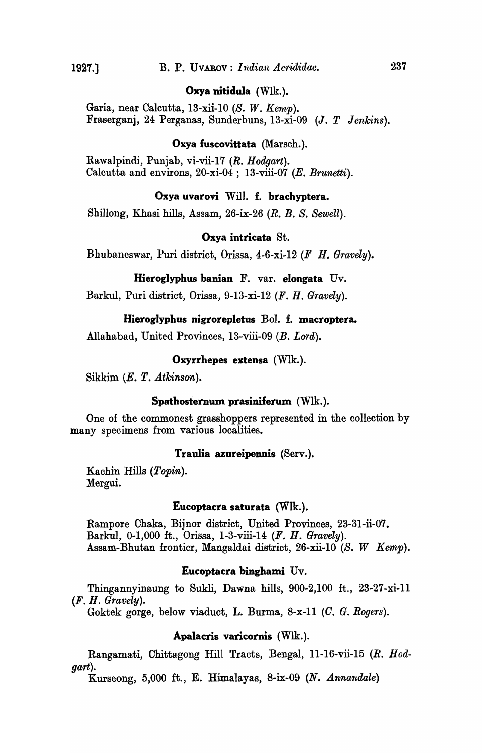## Oxya nitidula (Wlk.).

Garia, near Calcutta, 13-xii-l0 *(S. W. Kemp).*  Fraserganj, 24 Perganas, Sunderbuns, 13-xi-09 *(J. T Jenkins).* 

# Oxya fuscovittata (Marsch.).

Rawalpindi, Punjab, vi-vii-17 *(R. Hodgart).*  Calcutta and environs, 20-xi-04; 13-viii-07 (E. *Brunetti).* 

# Oxya uvarovi Will. f. brachyptera.

Shillong, Khasi hills, Assam, 26-ix-26 *(R. B. S. Sewell).* 

#### Oxya intricata St.

Bhubaneswar, Puri district, Orissa, 4-6-xi-12 *(F H. Gravely).* 

#### Hieroglyphus banian F. var. eIongata Uv.

Barkul, Puri district, Orissa, 9-13-xi-12 (F. H. *Gravely).* 

#### Hieroglyphus nigrorepletus BoI. f. macroptera.

Allahabad, United Provinces, 13-viii-09 (B. Lord).

### Oxyrrhepes extensa (Wlk.).

Sikkim *(E. T. Atkinson).* 

#### Spathosternum prasiniferum (WIk.).

One of the commonest grasshoppers represented in the collection by many specimens from various localities.

# Traulia azureipennis (Serv.).

Kachin Hills (Topin). Mergui.

#### Eucoptacra saturata (Wlk.).

Rampore Chaka, Bijnor district, United Provinces, 23-31-ii-07. Barkul, 0-1,000 ft., Orissa, 1-3-viii-14 (F. H. *Gravely).*  Assam-Bhutan frontier, Mangaldai district, 26-xii-l0 *(S. W Kemp).* 

### Eucoptacra binghami Uv.

Thingannyinaung to Sukli, Dawna hills,  $900-2,100$  ft.,  $23-27-xi-11$ (F. H. *Gravely).* 

Goktek gorge, below viaduct, L. Burma, 8-x-11 (C. G. Rogers).

#### Apalacris varicornis (WIk.).

Rangamati, Chittagong Hill Tracts, Bengal, 11-16-vii-15 *(R. Hodgart).* 

Kurseong, 5,000 ft., E. Himalayas, 8-ix-09 (N. *Annandale)*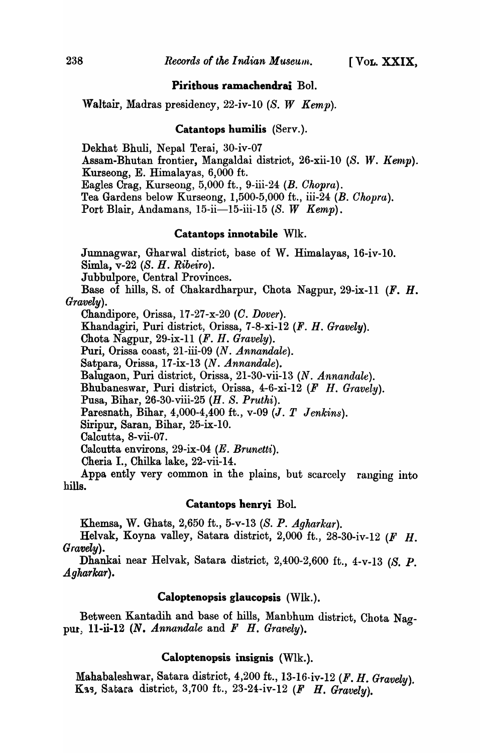# Pirithous ramachendrai BoI.

Waltair, Madras presidency, 22-iv-10 *(S. W Kemp).* 

### Catantops humilis (Serv.).

Dekhat Bhuli, Nepal Terai, 30-iv-07

Assam-Bhutan frontier, Mangaldai district, 26-xii-10 (S. W. *Kemp*).

Kurseong, E. Himalayas, 6,000 ft.

Eagles Crag, Kurseong, 5,000 ft., 9-iii-24 *(B. Chopra).* 

Tea Gardens below Kurseong, 1,500-5,000 ft., iii-24 (B. *Chopra).* 

Port Blair, Andamans, 15-ii-15-iii-15 (S. *W Kemp).* 

# Catantops innotabile Wlk.

Jumnagwar, Gharwal district, base of W. Himalayas, 16-iv-lO. Simla, v-22 (S. H. *Ribeiro).* 

Jubbulpore, Central Provinces.

Base of hills, S. of Chakardharpur, Chota Nagpur, 29-ix-11  $(F. H.$ *Gravely).* 

Chandipore, Orissa, 17-27-x-20 *(C. Dover).* 

Khandagiri, Puri district, Orissa, 7-S-xi-12 (F. H. *Gravely).* 

Chota Nagpur, 29-ix-ll (F. H. *Gravely).* 

Puri, Orissa coast, 21-iii-09 *(N. Annandale).* 

Satpara, Orissa, 17-ix-13 *(N. Annandale).* 

Balugaon, Puri district, Orissa, 21-30-vii-13 *(N. Annandale).* 

Bhubaneswar, Puri district, Orissa, 4-6-xi-12 (F H. *Gravely).* 

Pusa, Bihar, 26-30-viii-25 *(H. S. Pruthi).* 

Paresnath, Bihar, 4,000-4,400 ft., v-09 (J. *T Jenkins).* 

Siripur, Saran, Bihar, 25-ix-10.

Calcutta, 8-vii-07.

Calcutta environs, 29-ix-04 *(E. Brunetti).* 

Cheria I., Chilka lake, 22-vii-14.

Appa ently very common in the plains, but scarcely ranging into hills.

#### Catantops henryi BoI.

Khemsa, W. Ghats, 2,650 ft., 5-v-13 (S. P. *Agkarkar).* 

Helvak, Koyna valley, Satara district, 2,000 ft., 2S-30-iv-12 (F H. *Gravely).* 

Dhankai near Helvak, Satara district, 2,400-2,600 ft., 4-v-13 (S. P. *Agharkar).* 

### Caloptenopsis glaucopsis (Wlk.).

Between Kantadih and base of hills, Manbhum district, Chota Nagpur, 11-ii-12  $(N.$  Annandale and  $F$  *H. Gravely*).

# Caloptenopsis insignis (Wlk.).

Mahabaleshwar, Satara district, 4,200 ft., 13-16·iv-12 *(F. H. Gravely).*  Kas, Satara district, 3,700 ft., 23-24-iv-12 *(F H. Gravely)*.